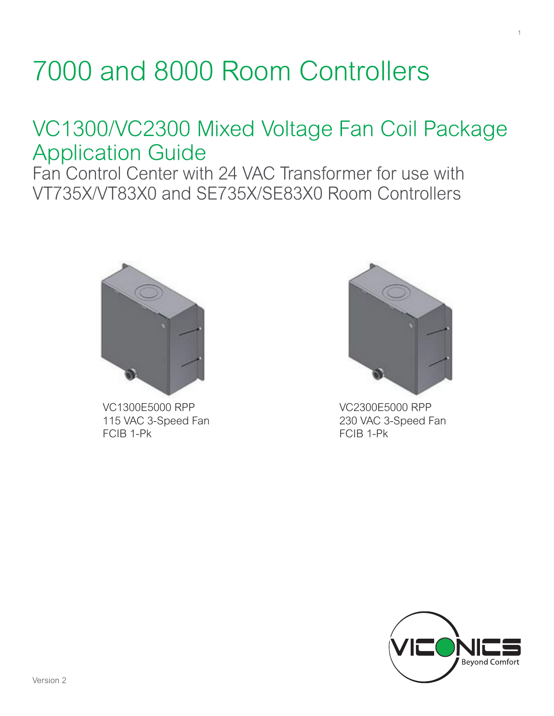## 7000 and 8000 Room Controllers

## VC1300/VC2300 Mixed Voltage Fan Coil Package Application Guide

Fan Control Center with 24 VAC Transformer for use with VT735X/VT83X0 and SE735X/SE83X0 Room Controllers



VC1300E5000 RPP 115 VAC 3-Speed Fan FCIB 1-Pk



1

VC2300E5000 RPP 230 VAC 3-Speed Fan FCIB 1-Pk